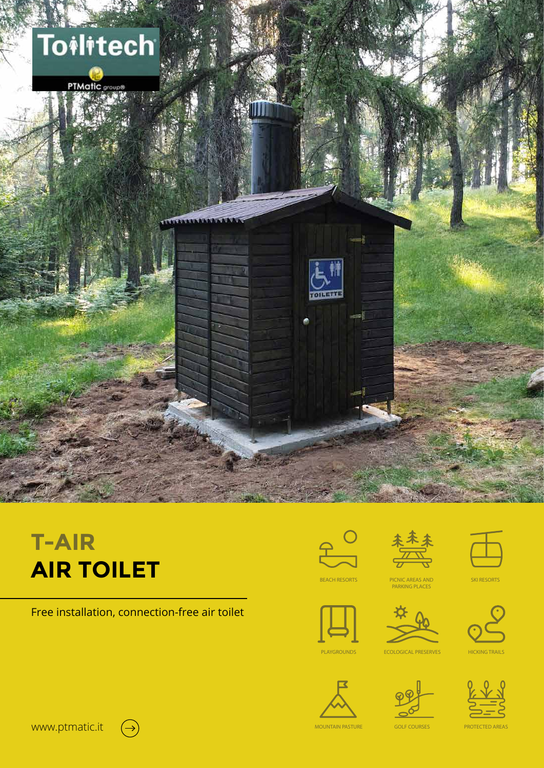

# **T-AIR AIR TOILET**

Free installation, connection-free air toilet







SKI RESORTS

BEACH RESORTS PICNIC AREAS AND PARKING PLACES







**ECOLOGICAL PRESERVES** HICKING TRAILS





www.ptmatic.it  $(\rightarrow)$ 

MOUNTAIN PASTURE GOLF COURSES PROTECTED AREAS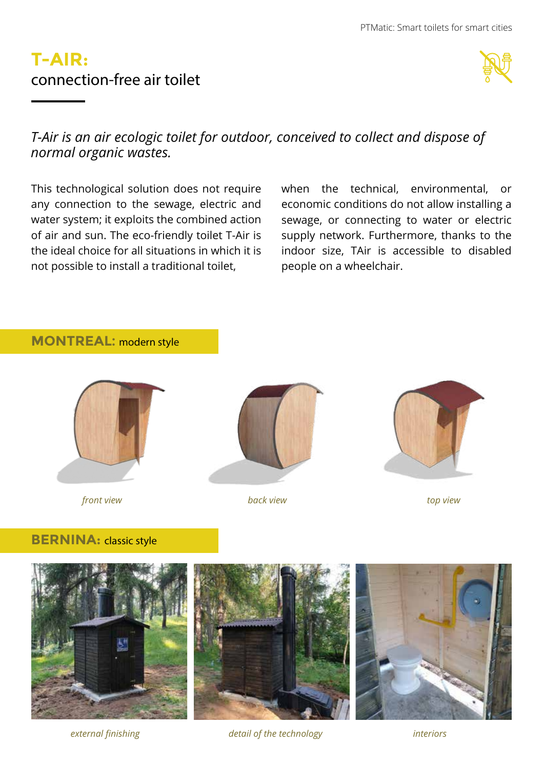### **T-AIR:** connection-free air toilet



### *T-Air is an air ecologic toilet for outdoor, conceived to collect and dispose of normal organic wastes.*

This technological solution does not require any connection to the sewage, electric and water system; it exploits the combined action of air and sun. The eco-friendly toilet T-Air is the ideal choice for all situations in which it is not possible to install a traditional toilet,

when the technical, environmental, or economic conditions do not allow installing a sewage, or connecting to water or electric supply network. Furthermore, thanks to the indoor size, TAir is accessible to disabled people on a wheelchair.

#### **MONTREAL:** modern style



*front view back view top view*





#### **BERNINA:** classic style



*external finishing detail of the technology interiors*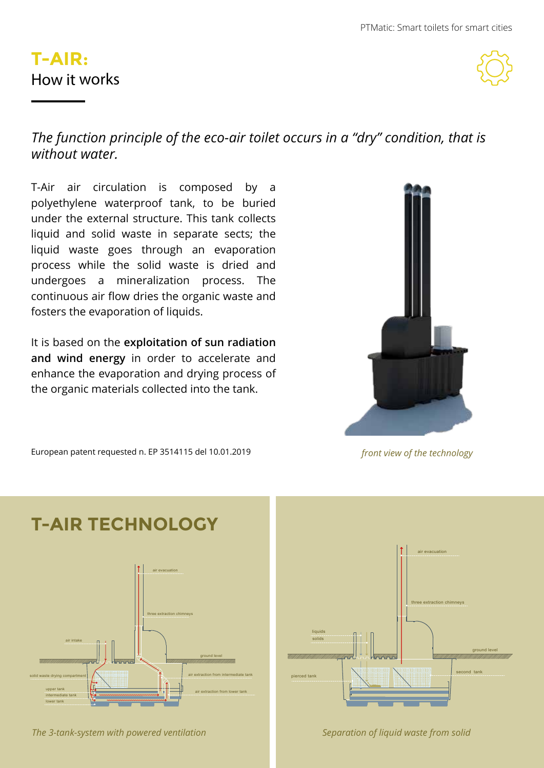# **T-AIR:** How it works



### *The function principle of the eco-air toilet occurs in a "dry" condition, that is without water.*

T-Air air circulation is composed by a polyethylene waterproof tank, to be buried under the external structure. This tank collects liquid and solid waste in separate sects; the liquid waste goes through an evaporation process while the solid waste is dried and undergoes a mineralization process. The continuous air flow dries the organic waste and fosters the evaporation of liquids.

It is based on the **exploitation of sun radiation and wind energy** in order to accelerate and enhance the evaporation and drying process of the organic materials collected into the tank.



*front view of the technology*

European patent requested n. EP 3514115 del 10.01.2019





*The 3-tank-system with powered ventilation Separation of liquid waste from solid*